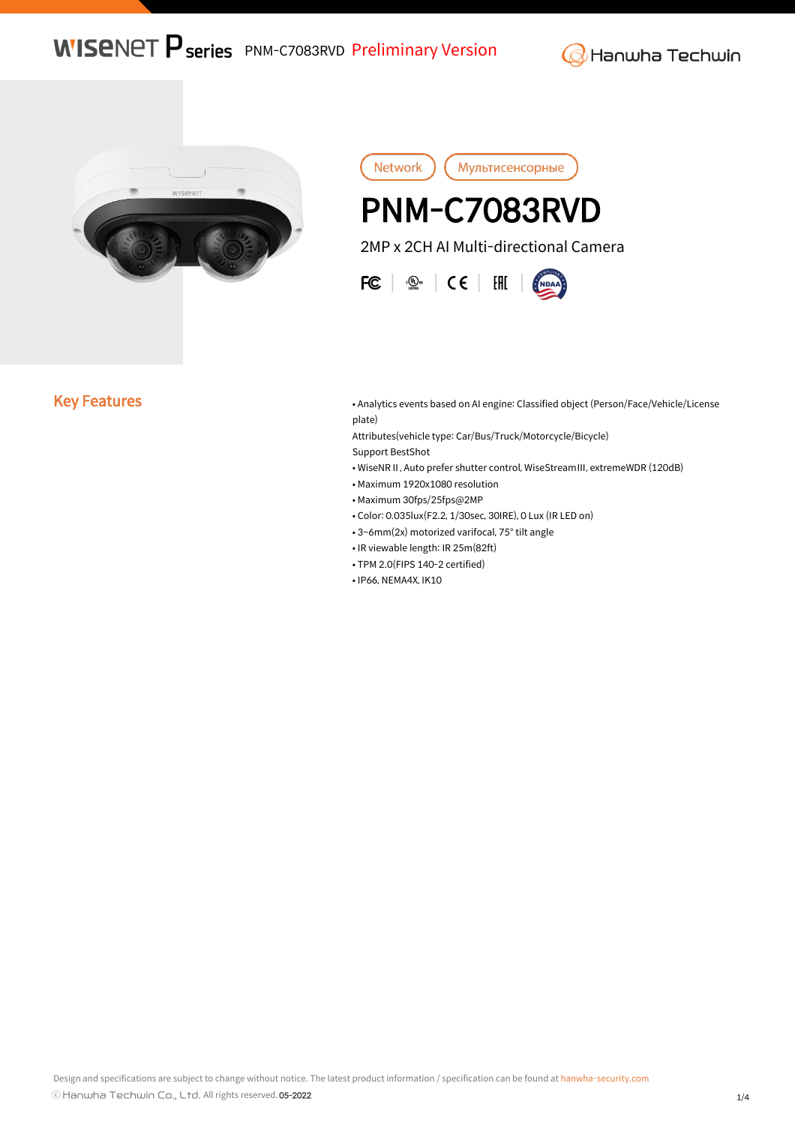**WISENET P series** PNM-C7083RVD Preliminary Version

**G** Hanwha Techwin



Network Мультисенсорные I, PNM-C7083RVD 2MP x 2CH AI Multi-directional Camera  $FC \mid \mathcal{Q}_\text{max} \mid \mathsf{CE} \mid \mathsf{HH}$ 

Key Features **• Analytics events based on AI engine: Classified object (Person/Face/Vehicle/License** plate)

> Attributes(vehicle type: Car/Bus/Truck/Motorcycle/Bicycle) Support BestShot

• WiseNRⅡ, Auto prefer shutter control, WiseStreamⅢ, extremeWDR (120dB)

- Maximum 1920x1080 resolution
- Maximum 30fps/25fps@2MP
- Color: 0.035lux(F2.2, 1/30sec, 30IRE), 0 Lux (IR LED on)
- 3~6mm(2x) motorized varifocal, 75° tilt angle
- IR viewable length: IR 25m(82ft)
- TPM 2.0(FIPS 140-2 certified)
- IP66, NEMA4X, IK10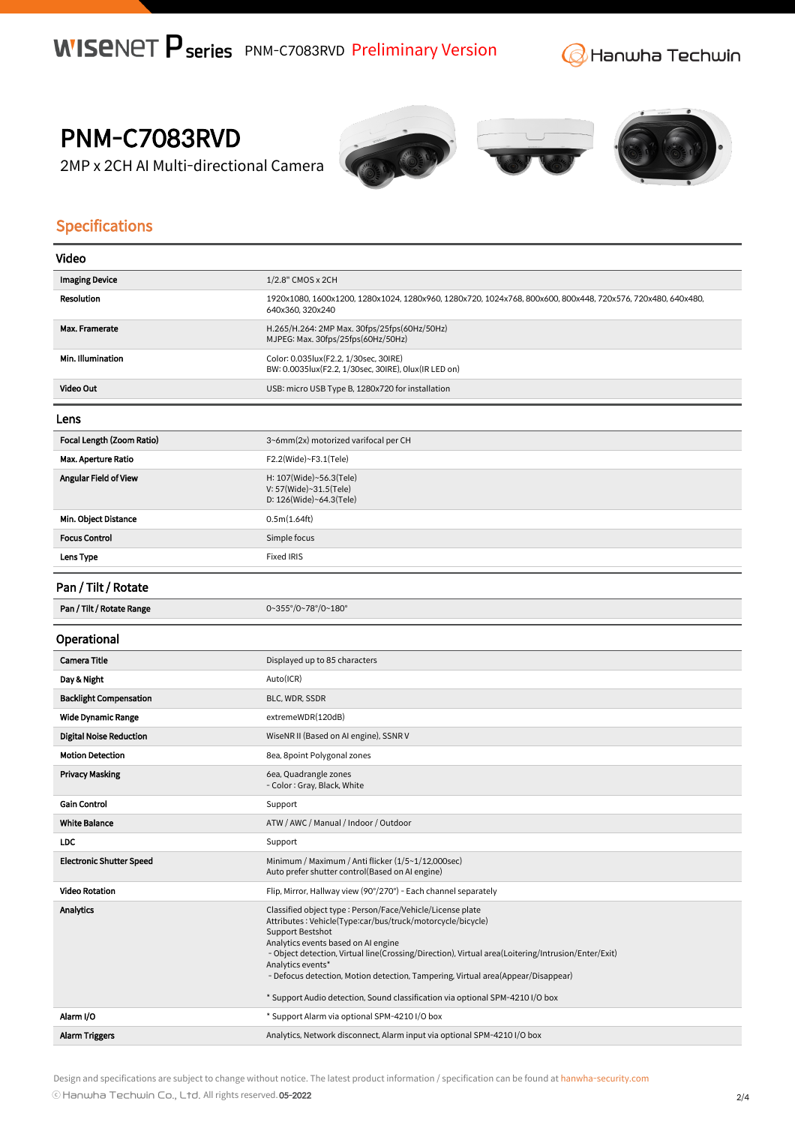**G** Hanwha Techwin

PNM-C7083RVD

2MP x 2CH AI Multi-directional Camera







## Specifications

| Video                           |                                                                                                                                                                                                                                                                                                                                                                                                                                                                                     |
|---------------------------------|-------------------------------------------------------------------------------------------------------------------------------------------------------------------------------------------------------------------------------------------------------------------------------------------------------------------------------------------------------------------------------------------------------------------------------------------------------------------------------------|
| <b>Imaging Device</b>           | 1/2.8" CMOS x 2CH                                                                                                                                                                                                                                                                                                                                                                                                                                                                   |
| <b>Resolution</b>               | 1920x1080, 1600x1200, 1280x1024, 1280x960, 1280x720, 1024x768, 800x600, 800x448, 720x576, 720x480, 640x480,<br>640x360, 320x240                                                                                                                                                                                                                                                                                                                                                     |
| Max. Framerate                  | H.265/H.264: 2MP Max. 30fps/25fps(60Hz/50Hz)<br>MJPEG: Max. 30fps/25fps(60Hz/50Hz)                                                                                                                                                                                                                                                                                                                                                                                                  |
| Min. Illumination               | Color: 0.035lux(F2.2, 1/30sec, 30IRE)<br>BW: 0.0035lux(F2.2, 1/30sec, 30IRE), 0lux(IR LED on)                                                                                                                                                                                                                                                                                                                                                                                       |
| Video Out                       | USB: micro USB Type B, 1280x720 for installation                                                                                                                                                                                                                                                                                                                                                                                                                                    |
| Lens                            |                                                                                                                                                                                                                                                                                                                                                                                                                                                                                     |
| Focal Length (Zoom Ratio)       | 3~6mm(2x) motorized varifocal per CH                                                                                                                                                                                                                                                                                                                                                                                                                                                |
| <b>Max. Aperture Ratio</b>      | $F2.2$ (Wide)~ $F3.1$ (Tele)                                                                                                                                                                                                                                                                                                                                                                                                                                                        |
| Angular Field of View           | H: 107(Wide)~56.3(Tele)<br>V: 57(Wide)~31.5(Tele)<br>D: $126$ (Wide)~64.3(Tele)                                                                                                                                                                                                                                                                                                                                                                                                     |
| Min. Object Distance            | 0.5m(1.64ft)                                                                                                                                                                                                                                                                                                                                                                                                                                                                        |
| <b>Focus Control</b>            | Simple focus                                                                                                                                                                                                                                                                                                                                                                                                                                                                        |
| Lens Type                       | <b>Fixed IRIS</b>                                                                                                                                                                                                                                                                                                                                                                                                                                                                   |
| Pan / Tilt / Rotate             |                                                                                                                                                                                                                                                                                                                                                                                                                                                                                     |
| Pan / Tilt / Rotate Range       | 0~355°/0~78°/0~180°                                                                                                                                                                                                                                                                                                                                                                                                                                                                 |
| Operational                     |                                                                                                                                                                                                                                                                                                                                                                                                                                                                                     |
| Camera Title                    | Displayed up to 85 characters                                                                                                                                                                                                                                                                                                                                                                                                                                                       |
| Day & Night                     | Auto(ICR)                                                                                                                                                                                                                                                                                                                                                                                                                                                                           |
| <b>Backlight Compensation</b>   | BLC, WDR, SSDR                                                                                                                                                                                                                                                                                                                                                                                                                                                                      |
| <b>Wide Dynamic Range</b>       | extremeWDR(120dB)                                                                                                                                                                                                                                                                                                                                                                                                                                                                   |
| <b>Digital Noise Reduction</b>  | WiseNR II (Based on AI engine), SSNR V                                                                                                                                                                                                                                                                                                                                                                                                                                              |
| <b>Motion Detection</b>         | 8ea, 8point Polygonal zones                                                                                                                                                                                                                                                                                                                                                                                                                                                         |
| <b>Privacy Masking</b>          | 6ea, Quadrangle zones<br>- Color: Gray, Black, White                                                                                                                                                                                                                                                                                                                                                                                                                                |
| <b>Gain Control</b>             | Support                                                                                                                                                                                                                                                                                                                                                                                                                                                                             |
| <b>White Balance</b>            | ATW / AWC / Manual / Indoor / Outdoor                                                                                                                                                                                                                                                                                                                                                                                                                                               |
| <b>LDC</b>                      | Support                                                                                                                                                                                                                                                                                                                                                                                                                                                                             |
| <b>Electronic Shutter Speed</b> | Minimum / Maximum / Anti flicker (1/5~1/12,000sec)<br>Auto prefer shutter control(Based on AI engine)                                                                                                                                                                                                                                                                                                                                                                               |
| <b>Video Rotation</b>           | Flip, Mirror, Hallway view (90°/270°) - Each channel separately                                                                                                                                                                                                                                                                                                                                                                                                                     |
| <b>Analytics</b>                | Classified object type : Person/Face/Vehicle/License plate<br>Attributes: Vehicle(Type:car/bus/truck/motorcycle/bicycle)<br>Support Bestshot<br>Analytics events based on AI engine<br>- Object detection, Virtual line(Crossing/Direction), Virtual area(Loitering/Intrusion/Enter/Exit)<br>Analytics events*<br>- Defocus detection, Motion detection, Tampering, Virtual area(Appear/Disappear)<br>* Support Audio detection, Sound classification via optional SPM-4210 I/O box |
| Alarm I/O                       | * Support Alarm via optional SPM-4210 I/O box                                                                                                                                                                                                                                                                                                                                                                                                                                       |
| <b>Alarm Triggers</b>           | Analytics, Network disconnect, Alarm input via optional SPM-4210 I/O box                                                                                                                                                                                                                                                                                                                                                                                                            |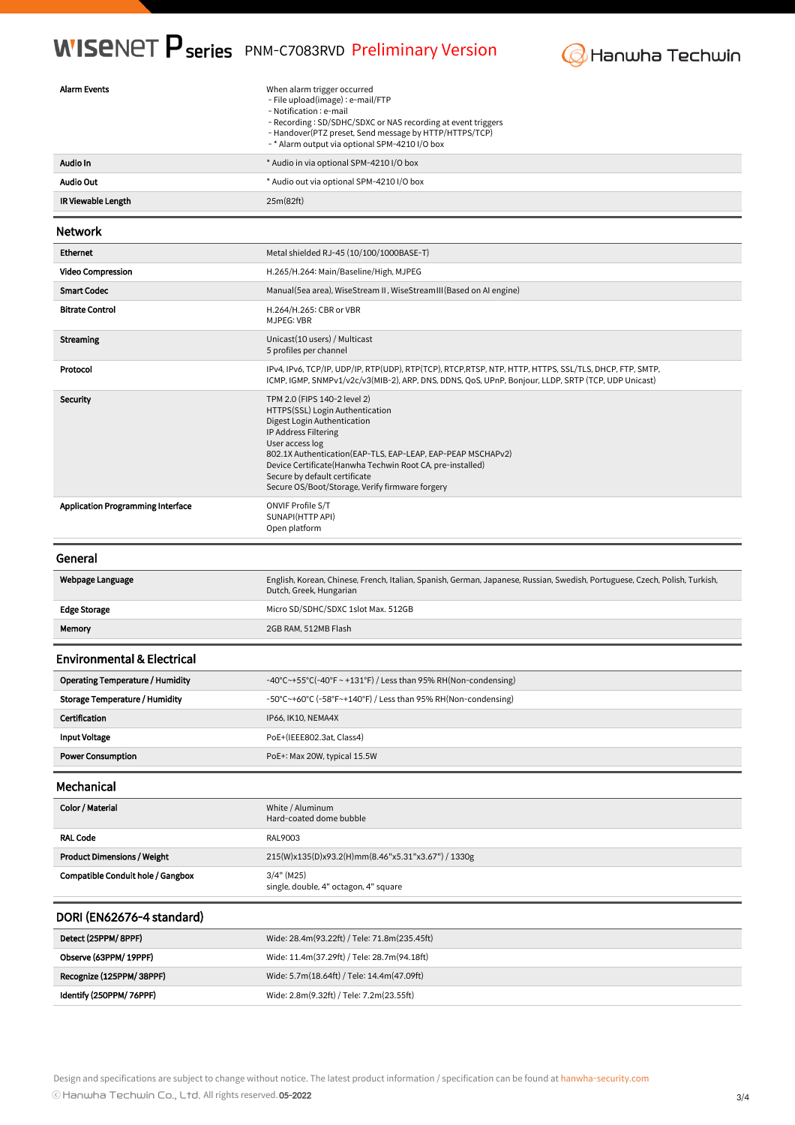## **WISENET P series** PNM-C7083RVD Preliminary Version



| <b>Alarm Events</b>                      | When alarm trigger occurred<br>- File upload(image) : e-mail/FTP<br>- Notification : e-mail<br>- Recording: SD/SDHC/SDXC or NAS recording at event triggers<br>- Handover(PTZ preset, Send message by HTTP/HTTPS/TCP)<br>-* Alarm output via optional SPM-4210 I/O box                                                                                      |
|------------------------------------------|-------------------------------------------------------------------------------------------------------------------------------------------------------------------------------------------------------------------------------------------------------------------------------------------------------------------------------------------------------------|
| Audio In                                 | * Audio in via optional SPM-4210 I/O box                                                                                                                                                                                                                                                                                                                    |
| <b>Audio Out</b>                         | * Audio out via optional SPM-4210 I/O box                                                                                                                                                                                                                                                                                                                   |
| IR Viewable Length                       | 25m(82ft)                                                                                                                                                                                                                                                                                                                                                   |
| <b>Network</b>                           |                                                                                                                                                                                                                                                                                                                                                             |
| Ethernet                                 | Metal shielded RJ-45 (10/100/1000BASE-T)                                                                                                                                                                                                                                                                                                                    |
| <b>Video Compression</b>                 | H.265/H.264: Main/Baseline/High, MJPEG                                                                                                                                                                                                                                                                                                                      |
| <b>Smart Codec</b>                       | Manual (5ea area), WiseStream II, WiseStream III (Based on AI engine)                                                                                                                                                                                                                                                                                       |
| <b>Bitrate Control</b>                   | H.264/H.265: CBR or VBR<br>MJPEG: VBR                                                                                                                                                                                                                                                                                                                       |
| <b>Streaming</b>                         | Unicast(10 users) / Multicast<br>5 profiles per channel                                                                                                                                                                                                                                                                                                     |
| Protocol                                 | IPv4, IPv6, TCP/IP, UDP/IP, RTP(UDP), RTP(TCP), RTCP, RTSP, NTP, HTTP, HTTPS, SSL/TLS, DHCP, FTP, SMTP,<br>ICMP, IGMP, SNMPv1/v2c/v3(MIB-2), ARP, DNS, DDNS, QoS, UPnP, Bonjour, LLDP, SRTP (TCP, UDP Unicast)                                                                                                                                              |
| Security                                 | TPM 2.0 (FIPS 140-2 level 2)<br>HTTPS(SSL) Login Authentication<br>Digest Login Authentication<br>IP Address Filtering<br>User access log<br>802.1X Authentication (EAP-TLS, EAP-LEAP, EAP-PEAP MSCHAPv2)<br>Device Certificate (Hanwha Techwin Root CA, pre-installed)<br>Secure by default certificate<br>Secure OS/Boot/Storage, Verify firmware forgery |
| <b>Application Programming Interface</b> | ONVIF Profile S/T<br>SUNAPI(HTTP API)<br>Open platform                                                                                                                                                                                                                                                                                                      |
|                                          |                                                                                                                                                                                                                                                                                                                                                             |
| General                                  |                                                                                                                                                                                                                                                                                                                                                             |
| Webpage Language                         | English, Korean, Chinese, French, Italian, Spanish, German, Japanese, Russian, Swedish, Portuguese, Czech, Polish, Turkish,<br>Dutch, Greek, Hungarian                                                                                                                                                                                                      |
| <b>Edge Storage</b>                      | Micro SD/SDHC/SDXC 1slot Max. 512GB                                                                                                                                                                                                                                                                                                                         |
| Memory                                   | 2GB RAM, 512MB Flash                                                                                                                                                                                                                                                                                                                                        |
| <b>Environmental &amp; Electrical</b>    |                                                                                                                                                                                                                                                                                                                                                             |
| Operating Temperature / Humidity         | -40°C~+55°C(-40°F ~ +131°F) / Less than 95% RH(Non-condensing)                                                                                                                                                                                                                                                                                              |
| <b>Storage Temperature / Humidity</b>    | $-50^{\circ}$ C $\sim$ +60 $^{\circ}$ C ( $-58^{\circ}$ F $\sim$ +140 $^{\circ}$ F) / Less than 95% RH(Non-condensing)                                                                                                                                                                                                                                      |
| <b>Certification</b>                     | IP66, IK10, NEMA4X                                                                                                                                                                                                                                                                                                                                          |
| <b>Input Voltage</b>                     | PoE+(IEEE802.3at, Class4)                                                                                                                                                                                                                                                                                                                                   |
| <b>Power Consumption</b>                 | PoE+: Max 20W, typical 15.5W                                                                                                                                                                                                                                                                                                                                |
| Mechanical                               |                                                                                                                                                                                                                                                                                                                                                             |
| Color / Material                         | White / Aluminum<br>Hard-coated dome bubble                                                                                                                                                                                                                                                                                                                 |
| <b>RAL Code</b>                          | RAL9003                                                                                                                                                                                                                                                                                                                                                     |
| <b>Product Dimensions / Weight</b>       | 215(W)x135(D)x93.2(H)mm(8.46"x5.31"x3.67") / 1330g                                                                                                                                                                                                                                                                                                          |
| <b>Compatible Conduit hole / Gangbox</b> | $3/4"$ (M25)<br>single, double, 4" octagon, 4" square                                                                                                                                                                                                                                                                                                       |
| DORI (EN62676-4 standard)                |                                                                                                                                                                                                                                                                                                                                                             |
| Detect (25PPM/ 8PPF)                     | Wide: 28.4m(93.22ft) / Tele: 71.8m(235.45ft)                                                                                                                                                                                                                                                                                                                |
| Observe (63PPM/ 19PPF)                   | Wide: 11.4m(37.29ft) / Tele: 28.7m(94.18ft)                                                                                                                                                                                                                                                                                                                 |
| Recognize (125PPM/ 38PPF)                | Wide: 5.7m(18.64ft) / Tele: 14.4m(47.09ft)                                                                                                                                                                                                                                                                                                                  |